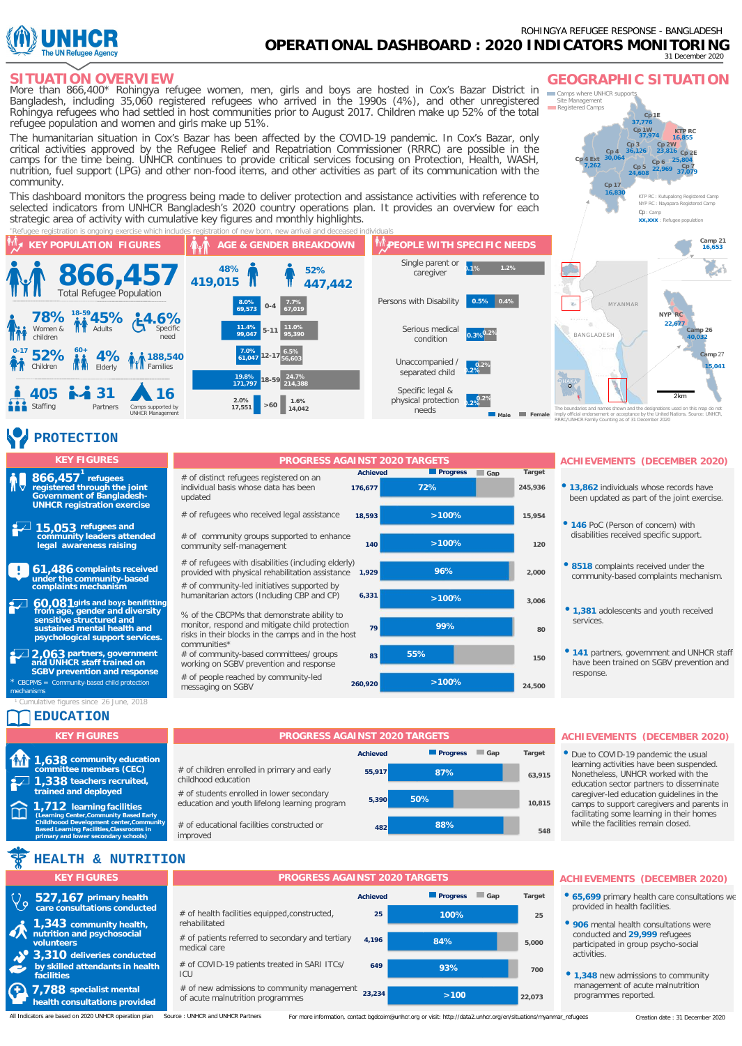

More than 866,400\* Rohingya refugee women, men, girls and boys are hosted in Cox's Bazar District in **SITUATION OVERVIEW** Bangladesh, including 35,060 registered refugees who arrived in the 1990s (4%), and other unregistered Rohingya refugees who had settled in host communities prior to August 2017. Children make up 52% of the total refugee population and women and girls make up 51%.

The humanitarian situation in Cox's Bazar has been affected by the COVID-19 pandemic. In Cox's Bazar, only critical activities approved by the Refugee Relief and Repatriation Commissioner (RRRC) are possible in the camps for the time being. UNHCR continues to provide critical services focusing on Protection, Health, WASH, nutrition, fuel support (LPG) and other non-food items, and other activities as part of its communication with the community.

This dashboard monitors the progress being made to deliver protection and assistance activities with reference to selected indicators from UNHCR Bangladesh's 2020 country operations plan. It provides an overview for each strategic area of activity with cumulative key figures and monthly highlights.





*16,830 Cp 17*

*30,064* 

*7,262 Cp 4*

*Cp 4 Ext*

**Camps where UNHCR support** *Site Management Registered Camps*

> *37,776 Cp 1E 37,974 Cp 1W*

**GEOGRAPHIC SITUATION** 

*24,608 Cp 5 36,126 Cp 3*

*22,969 Cp 6 23,816 Cp 2W 25,804 Cp 2E*

*37,079 Cp 7*

*KTP RC : Kutupalong Registered Camp NYP RC : Nayapara Registered Camp*

*16,855 KTP RC*

# **PROTECTION**

#### **refugees 1 registered through the joint Government of Bangladesh-UNHCR registration exercise 866,457**

**refugees and community leaders attended legal awareness raising 15,053**

÷. **complaints received 61,486** # # # # **under the community-based complaints mechanism**

**girls and boys benifitting from age, gender and diversity sensitive structured and sustained mental health and psychological support services. 60,081**

**partners, government and UNHCR staff trained on 2,063 SGBV prevention and response**  *\* CBCPMS = Community-based child protection* 

*mechanisms*

### **EDUCATION** *<sup>1</sup> Cumulative figures since 26 June, 2018*

| <b>KEY FIGURES</b>                                            |
|---------------------------------------------------------------|
| <b>M</b> 1,638 community education<br>committee members (CEC) |
| $\sqrt{1,338}$ teachers recruited,<br>trained and deployed    |
| 1 712 Joarning facilities                                     |

**1,712 learning facilities** П **(Learning Center,Community Based Early Childhoood Development center,Community Based Learning Facilities,Classrooms in primary and lower secondary schools)** 

#### # of distinct refugees registered on an individual basis whose data has been updated # of refugees who received legal assistance # of community groups supported to enhance community self-management # of refugees with disabilities (including elderly) provided with physical rehabilitation assistance # of community-led initiatives supported by humanitarian actors (Including CBP and CP) % of the CBCPMs that demonstrate ability to monitor, respond and mitigate child protection risks in their blocks in the camps and in the host communities\* # of community-based committees/ groups working on SGBV prevention and response # of people reached by community-led messaging on SGBV **Achieved Progress Gap Target >100% 55% 99% >100% 96% >100% >100% 72% 24,500 150 80 3,006 2,000 120 15,954 245,936 260,920 83 79 6,331 1,929 140 18,593 176,677**

## **KEY FIGURES PROGRESS AGAINST 2020 TARGETS ACHIEVEMENTS (DECEMBER 2020)**

- **13,862** individuals whose records have been updated as part of the joint exercise.
- **<sup>146</sup>** PoC (Person of concern) with disabilities received specific support.
- **8518** complaints received under the community-based complaints mechanism.
- **1,381** adolescents and youth received services.
- **<sup>141</sup>** partners, government and UNHCR staff have been trained on SGBV prevention and response.

## **50% 87% 5,390** of children enrolled in primary and early **55,917** childhood education # of students enrolled in lower secondary education and youth lifelong learning program

improved



#### Nonetheless, UNHCR worked with the education sector partners to disseminate caregiver-led education guidelines in the camps to support caregivers and parents in facilitating some learning in their homes

while the facilities remain closed.

**ACHIEVEMENTS (DECEMBER 2020)** • Due to COVID-19 pandemic the usual learning activities have been suspended.

**548**

# of educational facilities constructed or



| <b>KEY FIGURES</b>                                                  | <b>PROGRESS AGAINST 2020 TARGETS</b>                                            |                 |                        |        |  |  |  |  |
|---------------------------------------------------------------------|---------------------------------------------------------------------------------|-----------------|------------------------|--------|--|--|--|--|
| 527,167 primary health                                              |                                                                                 | <b>Achieved</b> | <b>Progress</b><br>Gap | Target |  |  |  |  |
| care consultations conducted                                        | # of health facilities equipped, constructed,                                   | 25              | 100%                   | 25     |  |  |  |  |
| 1,343 community health,<br>nutrition and psychosocial<br>volunteers | rehabilitated<br># of patients referred to secondary and tertiary               | 4.196           | 84%                    |        |  |  |  |  |
| 3,310 deliveries conducted                                          | medical care                                                                    |                 |                        | 5.000  |  |  |  |  |
| by skilled attendants in health<br><b>facilities</b>                | # of COVID-19 patients treated in SARI ITCs/<br>ICU                             | 649             | 93%                    | 700    |  |  |  |  |
| 7.788 specialist mental<br>health consultations provided            | # of new admissions to community management<br>of acute malnutrition programmes | 23.234          | >100                   | 22.073 |  |  |  |  |

# **ACHIEVEMENTS** (DECEMBER 2020)

- 65,699 primary health care consultations we provided in health facilities.
- **<sup>906</sup>**mental health consultations were conducted and **29,999** refugees participated in group psycho-social activities.
- **1,348** new admissions to community management of acute malnutrition programmes reported.

All Indicators are based on 2020 UNHCR operation plan Source : UNHCR and UNHCR Partners

For more information, contact [bgdcoim@unhcr.org](mailto:bgdcoim@unhcr.org) or visit: [http://data2.unhcr.org/en/situations/myanmar\\_refugees](http://data2.unhcr.org/en/situations/myanmar_refugees) Creation date : 31 December 2020

#### *The boundaries and names shown and the designations used on this map do not imply official endorsement or acceptance by the United Nations. Source: UNHCR, RRRC/UNHCR Family Counting as of 31 December 2020*